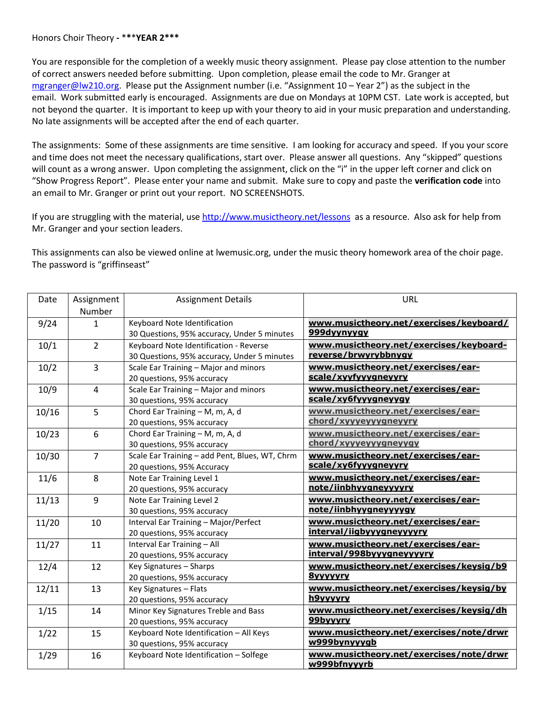## Honors Choir Theory **-** \***\***\***YEAR 2\*\*\***

You are responsible for the completion of a weekly music theory assignment. Please pay close attention to the number of correct answers needed before submitting. Upon completion, please email the code to Mr. Granger at [mgranger@lw210.org.](mailto:mgranger@lw210.org) Please put the Assignment number (i.e. "Assignment 10 – Year 2") as the subject in the email. Work submitted early is encouraged. Assignments are due on Mondays at 10PM CST. Late work is accepted, but not beyond the quarter. It is important to keep up with your theory to aid in your music preparation and understanding. No late assignments will be accepted after the end of each quarter.

The assignments: Some of these assignments are time sensitive. I am looking for accuracy and speed. If you your score and time does not meet the necessary qualifications, start over. Please answer all questions. Any "skipped" questions will count as a wrong answer. Upon completing the assignment, click on the "i" in the upper left corner and click on "Show Progress Report". Please enter your name and submit. Make sure to copy and paste the **verification code** into an email to Mr. Granger or print out your report. NO SCREENSHOTS.

If you are struggling with the material, us[e http://www.musictheory.net/lessons](http://www.musictheory.net/lessons) as a resource. Also ask for help from Mr. Granger and your section leaders.

This assignments can also be viewed online at lwemusic.org, under the music theory homework area of the choir page. The password is "griffinseast"

| Date  | Assignment     | <b>Assignment Details</b>                      | <b>URL</b>                              |
|-------|----------------|------------------------------------------------|-----------------------------------------|
|       | Number         |                                                |                                         |
| 9/24  | $\mathbf{1}$   | Keyboard Note Identification                   | www.musictheory.net/exercises/keyboard/ |
|       |                | 30 Questions, 95% accuracy, Under 5 minutes    | 999dyynyygy                             |
| 10/1  | $\overline{2}$ | Keyboard Note Identification - Reverse         | www.musictheory.net/exercises/keyboard- |
|       |                | 30 Questions, 95% accuracy, Under 5 minutes    | reverse/brwyrybbnygy                    |
| 10/2  | $\overline{3}$ | Scale Ear Training - Major and minors          | www.musictheory.net/exercises/ear-      |
|       |                | 20 questions, 95% accuracy                     | scale/xyyfyyygneyyry                    |
| 10/9  | 4              | Scale Ear Training - Major and minors          | www.musictheory.net/exercises/ear-      |
|       |                | 30 questions, 95% accuracy                     | scale/xy6fyyygneyygy                    |
| 10/16 | 5              | Chord Ear Training - M, m, A, d                | www.musictheory.net/exercises/ear-      |
|       |                | 20 questions, 95% accuracy                     | chord/xyyyeyyygneyyry                   |
| 10/23 | 6              | Chord Ear Training - M, m, A, d                | www.musictheory.net/exercises/ear-      |
|       |                | 30 questions, 95% accuracy                     | chord/xyyyeyyygneyygy                   |
| 10/30 | $\overline{7}$ | Scale Ear Training - add Pent, Blues, WT, Chrm | www.musictheory.net/exercises/ear-      |
|       |                | 20 questions, 95% Accuracy                     | scale/xy6fyyygneyyry                    |
| 11/6  | 8              | Note Ear Training Level 1                      | www.musictheory.net/exercises/ear-      |
|       |                | 20 questions, 95% accuracy                     | note/iinbhyygneyyyyry                   |
| 11/13 | 9              | Note Ear Training Level 2                      | www.musictheory.net/exercises/ear-      |
|       |                | 30 questions, 95% accuracy                     | note/iinbhyygneyyyygy                   |
| 11/20 | 10             | Interval Ear Training - Major/Perfect          | www.musictheory.net/exercises/ear-      |
|       |                | 20 questions, 95% accuracy                     | interval/iigbyyygneyyyyry               |
| 11/27 | 11             | Interval Ear Training - All                    | www.musictheory.net/exercises/ear-      |
|       |                | 20 questions, 95% accuracy                     | interval/998byyygneyyyyry               |
| 12/4  | 12             | Key Signatures - Sharps                        | www.musictheory.net/exercises/keysig/b9 |
|       |                | 20 questions, 95% accuracy                     | <b>8vvvvvrv</b>                         |
| 12/11 | 13             | Key Signatures - Flats                         | www.musictheory.net/exercises/keysig/by |
|       |                | 20 questions, 95% accuracy                     | h9yyyyry                                |
| 1/15  | 14             | Minor Key Signatures Treble and Bass           | www.musictheory.net/exercises/keysig/dh |
|       |                | 20 questions, 95% accuracy                     | 99byyyry                                |
| 1/22  | 15             | Keyboard Note Identification - All Keys        | www.musictheory.net/exercises/note/drwr |
|       |                | 30 questions, 95% accuracy                     | w999bynyyygb                            |
| 1/29  | 16             | Keyboard Note Identification - Solfege         | www.musictheory.net/exercises/note/drwr |
|       |                |                                                | w999bfnyyyrb                            |